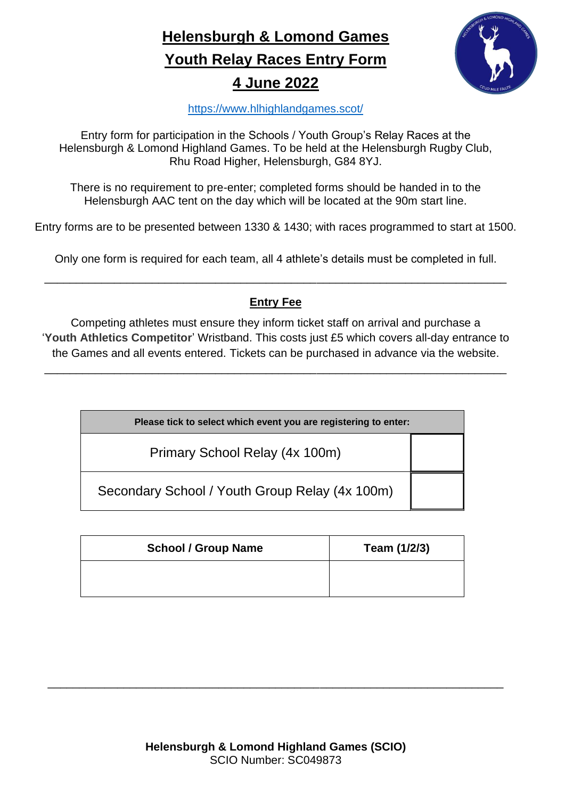**Helensburgh & Lomond Games Youth Relay Races Entry Form 4 June 2022**



<https://www.hlhighlandgames.scot/>

Entry form for participation in the Schools / Youth Group's Relay Races at the Helensburgh & Lomond Highland Games. To be held at the Helensburgh Rugby Club, Rhu Road Higher, Helensburgh, G84 8YJ.

There is no requirement to pre-enter; completed forms should be handed in to the Helensburgh AAC tent on the day which will be located at the 90m start line.

Entry forms are to be presented between 1330 & 1430; with races programmed to start at 1500.

Only one form is required for each team, all 4 athlete's details must be completed in full.

\_\_\_\_\_\_\_\_\_\_\_\_\_\_\_\_\_\_\_\_\_\_\_\_\_\_\_\_\_\_\_\_\_\_\_\_\_\_\_\_\_\_\_\_\_\_\_\_\_\_\_\_\_\_\_\_\_\_\_\_\_\_\_\_\_\_\_\_\_\_\_\_\_

## **Entry Fee**

Competing athletes must ensure they inform ticket staff on arrival and purchase a '**Youth Athletics Competitor**' Wristband. This costs just £5 which covers all-day entrance to the Games and all events entered. Tickets can be purchased in advance via the website.

\_\_\_\_\_\_\_\_\_\_\_\_\_\_\_\_\_\_\_\_\_\_\_\_\_\_\_\_\_\_\_\_\_\_\_\_\_\_\_\_\_\_\_\_\_\_\_\_\_\_\_\_\_\_\_\_\_\_\_\_\_\_\_\_\_\_\_\_\_\_\_\_\_

| Please tick to select which event you are registering to enter: |  |  |  |
|-----------------------------------------------------------------|--|--|--|
| Primary School Relay (4x 100m)                                  |  |  |  |
| Secondary School / Youth Group Relay (4x 100m)                  |  |  |  |

| <b>School / Group Name</b> | Team (1/2/3) |
|----------------------------|--------------|
|                            |              |

\_\_\_\_\_\_\_\_\_\_\_\_\_\_\_\_\_\_\_\_\_\_\_\_\_\_\_\_\_\_\_\_\_\_\_\_\_\_\_\_\_\_\_\_\_\_\_\_\_\_\_\_\_\_\_\_\_\_\_\_\_\_\_\_\_\_\_\_\_\_\_\_